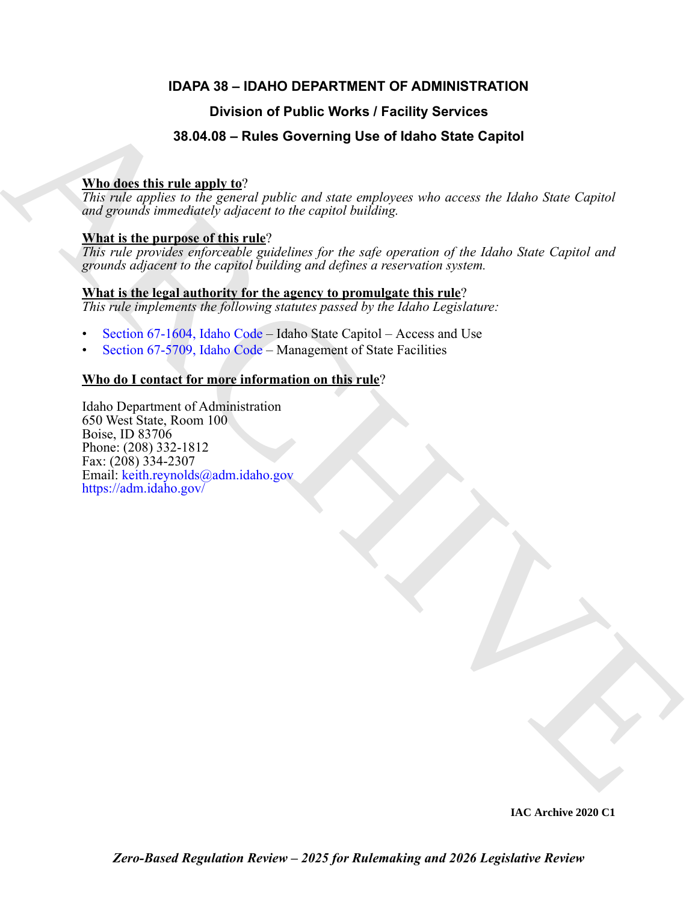### **IDAPA 38 – IDAHO DEPARTMENT OF ADMINISTRATION**

### **Division of Public Works / Facility Services**

### **38.04.08 – Rules Governing Use of Idaho State Capitol**

### **Who does this rule apply to**?

*This rule applies to the general public and state employees who access the Idaho State Capitol and grounds immediately adjacent to the capitol building.*

### **What is the purpose of this rule**?

*This rule provides enforceable guidelines for the safe operation of the Idaho State Capitol and grounds adjacent to the capitol building and defines a reservation system.*

#### **What is the legal authority for the agency to promulgate this rule**? *This rule implements the following statutes passed by the Idaho Legislature:*

- Section 67-1604, Idaho Code Idaho State Capitol Access and Use
- Section 67-5709, Idaho Code Management of State Facilities

### **Who do I contact for more information on this rule**?

**Division of Public Works / Facility Services**<br> **A[RC](https://legislature.idaho.gov/statutesrules/idstat/Title67/T67CH57/SECT67-5709/)[HI](https://adm.idaho.gov/)VE WORKS (The SOLUTION STATE SCIENCIPS)**<br>
The real agents in the group (*public and state puplings* we sho access the higher State Capturi<br> **ARCHIVE CONSULTER THE CONS** Idaho Department of Administration 650 West State, Room 100 Boise, ID 83706 Phone: (208) 332-1812 Fax: (208) 334-2307 Email: keith.reynolds@adm.idaho.gov https://adm.idaho.gov/

**IAC Archive 2020 C1**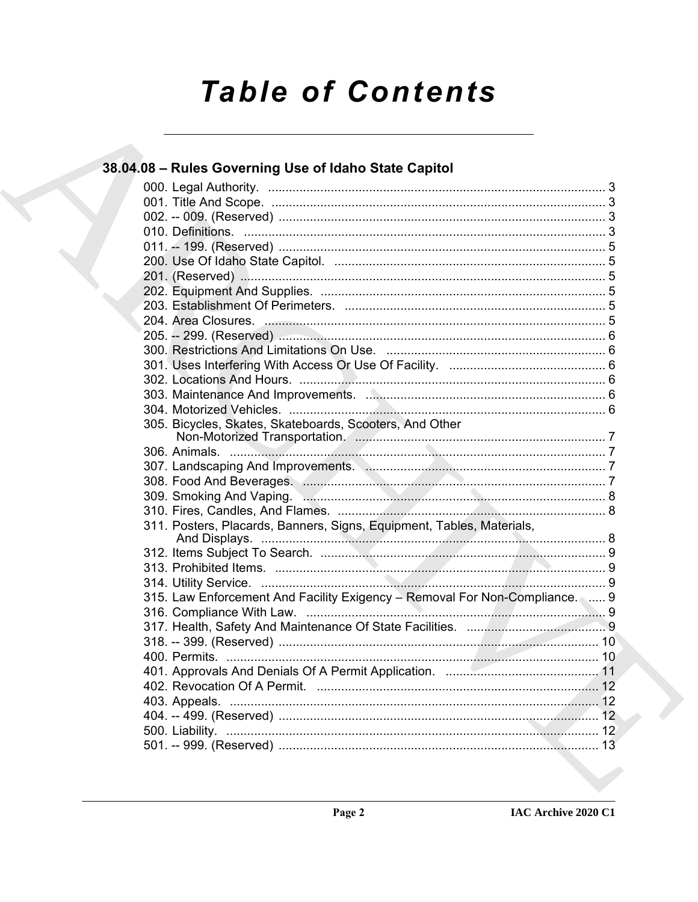# **Table of Contents**

## 38.04.08 - Rules Governing Use of Idaho State Capitol

|  | 305. Bicycles, Skates, Skateboards, Scooters, And Other                     |  |
|--|-----------------------------------------------------------------------------|--|
|  |                                                                             |  |
|  |                                                                             |  |
|  |                                                                             |  |
|  |                                                                             |  |
|  |                                                                             |  |
|  |                                                                             |  |
|  | 311. Posters, Placards, Banners, Signs, Equipment, Tables, Materials,       |  |
|  |                                                                             |  |
|  |                                                                             |  |
|  |                                                                             |  |
|  |                                                                             |  |
|  | 315. Law Enforcement And Facility Exigency - Removal For Non-Compliance.  9 |  |
|  |                                                                             |  |
|  |                                                                             |  |
|  |                                                                             |  |
|  |                                                                             |  |
|  |                                                                             |  |
|  |                                                                             |  |
|  |                                                                             |  |
|  |                                                                             |  |
|  |                                                                             |  |
|  |                                                                             |  |
|  |                                                                             |  |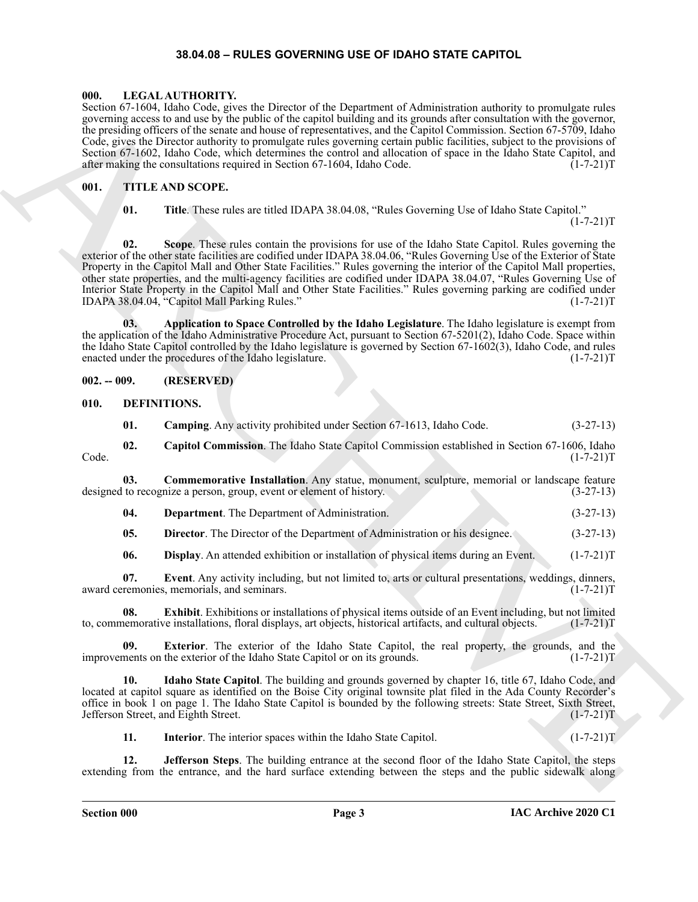#### **38.04.08 – RULES GOVERNING USE OF IDAHO STATE CAPITOL**

#### <span id="page-2-18"></span><span id="page-2-1"></span><span id="page-2-0"></span>**000. LEGAL AUTHORITY.**

Section 67-1604, Idaho Code, gives the Director of the Department of Administration authority to promulgate rules governing access to and use by the public of the capitol building and its grounds after consultation with the governor, the presiding officers of the senate and house of representatives, and the Capitol Commission. Section 67-5709, Idaho Code, gives the Director authority to promulgate rules governing certain public facilities, subject to the provisions of Section 67-1602, Idaho Code, which determines the control and allocation of space in the Idaho State Capitol, and after making the consultations required in Section 67-1604, Idaho Code.  $(1-7-21)T$ 

#### <span id="page-2-2"></span>**001. TITLE AND SCOPE.**

<span id="page-2-19"></span>**01. Title**. These rules are titled IDAPA 38.04.08, "Rules Governing Use of Idaho State Capitol."

 $(1-7-21)T$ 

Some Crisis And Constraint and Between College and Accordinate Accordinate and the space of the space of the space of the space of the space of the space of the space of the space of the space of the space of the space of **02. Scope**. These rules contain the provisions for use of the Idaho State Capitol. Rules governing the exterior of the other state facilities are codified under IDAPA 38.04.06, "Rules Governing Use of the Exterior of State Property in the Capitol Mall and Other State Facilities." Rules governing the interior of the Capitol Mall properties, other state properties, and the multi-agency facilities are codified under IDAPA 38.04.07, "Rules Governing Use of Interior State Property in the Capitol Mall and Other State Facilities." Rules governing parking are codified under IDAPA 38.04.04, "Capitol Mall Parking Rules." (1-7-21)T

**03. Application to Space Controlled by the Idaho Legislature**. The Idaho legislature is exempt from the application of the Idaho Administrative Procedure Act, pursuant to Section 67-5201(2), Idaho Code. Space within the Idaho State Capitol controlled by the Idaho legislature is governed by Section 67-1602(3), Idaho Code, and rules enacted under the procedures of the Idaho legislature. (1-7-21)T

<span id="page-2-3"></span>**002. -- 009. (RESERVED)**

#### <span id="page-2-4"></span>**010. DEFINITIONS.**

<span id="page-2-7"></span><span id="page-2-6"></span><span id="page-2-5"></span>**01. Camping**. Any activity prohibited under Section 67-1613, Idaho Code. (3-27-13)

**02. Capitol Commission**. The Idaho State Capitol Commission established in Section 67-1606, Idaho Code. (1-7-21)T

**03. Commemorative Installation**. Any statue, monument, sculpture, memorial or landscape feature designed to recognize a person, group, event or element of history. (3-27-13)

<span id="page-2-9"></span><span id="page-2-8"></span>**04. Department**. The Department of Administration. (3-27-13)

<span id="page-2-11"></span><span id="page-2-10"></span>**05. Director**. The Director of the Department of Administration or his designee. (3-27-13)

<span id="page-2-13"></span><span id="page-2-12"></span>**06. Display**. An attended exhibition or installation of physical items during an Event. (1-7-21)T

**07.** Event. Any activity including, but not limited to, arts or cultural presentations, weddings, dinners, remonies, memorials, and seminars. (1-7-21) award ceremonies, memorials, and seminars.

**08.** Exhibit. Exhibitions or installations of physical items outside of an Event including, but not limited nemorative installations, floral displays, art objects, historical artifacts, and cultural objects. (1-7-21)T to, commemorative installations, floral displays, art objects, historical artifacts, and cultural objects.

<span id="page-2-14"></span>**09. Exterior**. The exterior of the Idaho State Capitol, the real property, the grounds, and the improvements on the exterior of the Idaho State Capitol or on its grounds. (1-7-21)T

**10. Idaho State Capitol**. The building and grounds governed by chapter 16, title 67, Idaho Code, and located at capitol square as identified on the Boise City original townsite plat filed in the Ada County Recorder's office in book 1 on page 1. The Idaho State Capitol is bounded by the following streets: State Street, Sixth Street, Jefferson Street, and Eighth Street. (1-7-21)T

<span id="page-2-17"></span><span id="page-2-16"></span><span id="page-2-15"></span>**11.** Interior. The interior spaces within the Idaho State Capitol. (1-7-21) I

**12. Jefferson Steps**. The building entrance at the second floor of the Idaho State Capitol, the steps extending from the entrance, and the hard surface extending between the steps and the public sidewalk along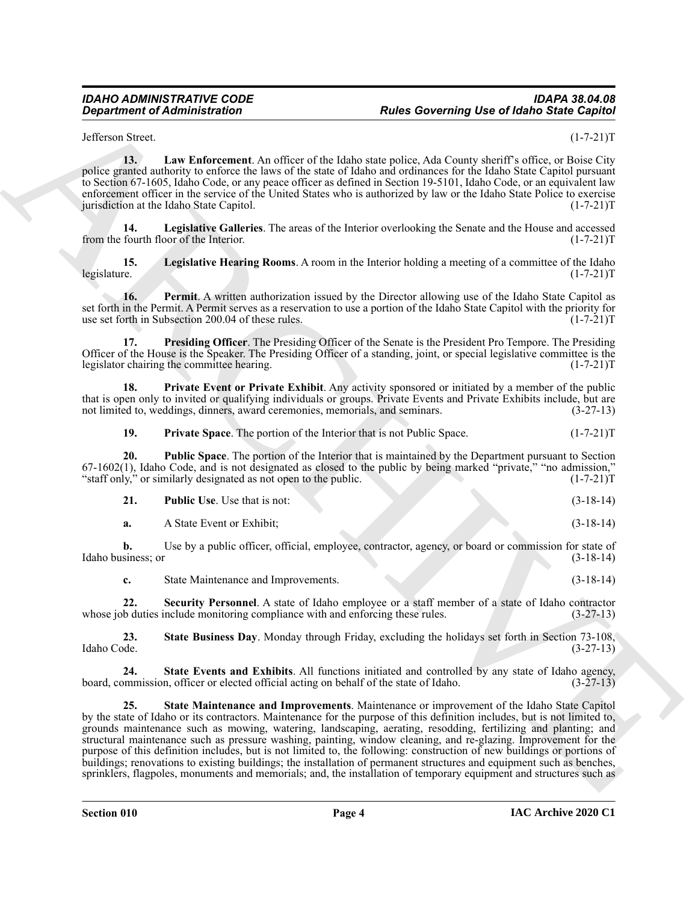<span id="page-3-0"></span>Jefferson Street. (1-7-21)T

**13. Law Enforcement**. An officer of the Idaho state police, Ada County sheriff's office, or Boise City police granted authority to enforce the laws of the state of Idaho and ordinances for the Idaho State Capitol pursuant to Section 67-1605, Idaho Code, or any peace officer as defined in Section 19-5101, Idaho Code, or an equivalent law enforcement officer in the service of the United States who is authorized by law or the Idaho State Police to exercise<br>[urisdiction at the Idaho State Capitol.] (1-7-21) jurisdiction at the Idaho State Capitol.

<span id="page-3-1"></span>**14. Legislative Galleries**. The areas of the Interior overlooking the Senate and the House and accessed from the fourth floor of the Interior. (1-7-21)T

<span id="page-3-2"></span>**15.** Legislative Hearing Rooms. A room in the Interior holding a meeting of a committee of the Idaho legislature. (1-7-21)T legislature. (1-7-21)T

<span id="page-3-3"></span>**16. Permit**. A written authorization issued by the Director allowing use of the Idaho State Capitol as set forth in the Permit. A Permit serves as a reservation to use a portion of the Idaho State Capitol with the priority for use set forth in Subsection 200.04 of these rules. (1-7-21) use set forth in Subsection 200.04 of these rules.

<span id="page-3-4"></span>**17. Presiding Officer**. The Presiding Officer of the Senate is the President Pro Tempore. The Presiding Officer of the House is the Speaker. The Presiding Officer of a standing, joint, or special legislative committee is the legislator chairing the committee hearing. (1-7-21)T

**18. Private Event or Private Exhibit**. Any activity sponsored or initiated by a member of the public that is open only to invited or qualifying individuals or groups. Private Events and Private Exhibits include, but are not limited to, weddings, dinners, award ceremonies, memorials, and seminars. (3-27-13)

<span id="page-3-7"></span><span id="page-3-6"></span><span id="page-3-5"></span>**19.** Private Space. The portion of the Interior that is not Public Space.  $(1-7-21)T$ 

**20. Public Space**. The portion of the Interior that is maintained by the Department pursuant to Section 67-1602(1), Idaho Code, and is not designated as closed to the public by being marked "private," "no admission," "staff only," or similarly designated as not open to the public.  $(1-7-21)T$ "staff only," or similarly designated as not open to the public.

<span id="page-3-8"></span>

| <b>Public Use.</b> Use that is not: |  | $(3-18-14)$ |
|-------------------------------------|--|-------------|
| A State Event or Exhibit:           |  | $(3-18-14)$ |

**b.** Use by a public officer, official, employee, contractor, agency, or board or commission for state of Idaho business; or (3-18-14)

<span id="page-3-10"></span><span id="page-3-9"></span>**c.** State Maintenance and Improvements. (3-18-14)

**22. Security Personnel**. A state of Idaho employee or a staff member of a state of Idaho contractor whose job duties include monitoring compliance with and enforcing these rules. (3-27-13)

**23. State Business Day**. Monday through Friday, excluding the holidays set forth in Section 73-108, Idaho Code. (3-27-13)

<span id="page-3-12"></span><span id="page-3-11"></span>**24. State Events and Exhibits**. All functions initiated and controlled by any state of Idaho agency, board, commission, officer or elected official acting on behalf of the state of Idaho. (3-27-13)

**Equivariation of Administration**<br>
Altitude Exercise that the following the state of the basebane price of the Company of the Control of the Company of the Company of the Company of the Company of the Company of the Compa **25. State Maintenance and Improvements**. Maintenance or improvement of the Idaho State Capitol by the state of Idaho or its contractors. Maintenance for the purpose of this definition includes, but is not limited to, grounds maintenance such as mowing, watering, landscaping, aerating, resodding, fertilizing and planting; and structural maintenance such as pressure washing, painting, window cleaning, and re-glazing. Improvement for the purpose of this definition includes, but is not limited to, the following: construction of new buildings or portions of buildings; renovations to existing buildings; the installation of permanent structures and equipment such as benches, sprinklers, flagpoles, monuments and memorials; and, the installation of temporary equipment and structures such as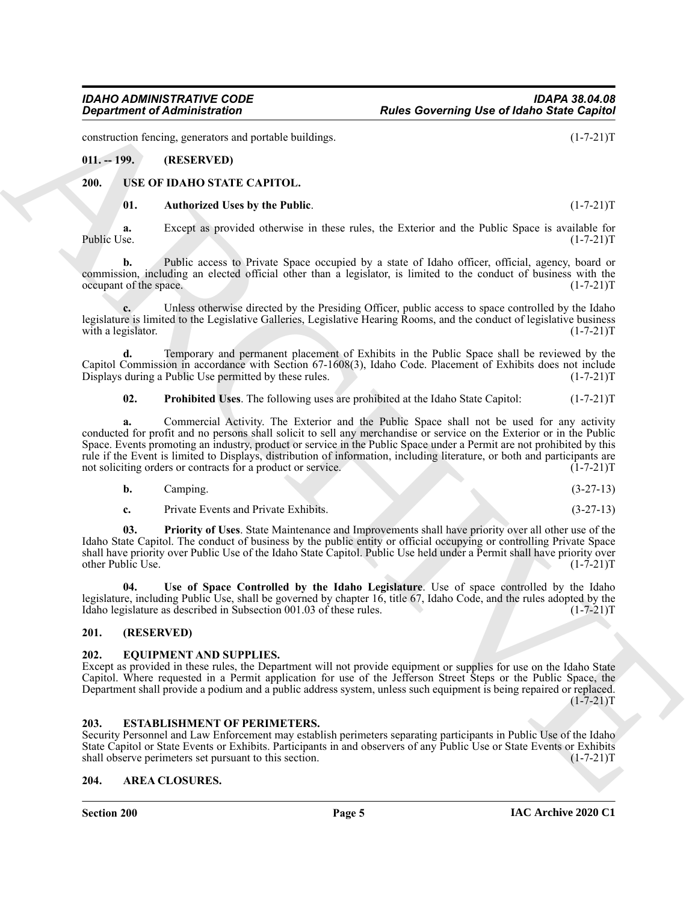construction fencing, generators and portable buildings. (1-7-21)T

#### <span id="page-4-0"></span>**011. -- 199. (RESERVED)**

#### <span id="page-4-1"></span>**200. USE OF IDAHO STATE CAPITOL.**

#### <span id="page-4-10"></span><span id="page-4-9"></span>**01. Authorized Uses by the Public**. (1-7-21)T

**a.** Except as provided otherwise in these rules, the Exterior and the Public Space is available for Public Use.  $(1-7-21)T$ Public Use. (1-7-21)T

**b.** Public access to Private Space occupied by a state of Idaho officer, official, agency, board or commission, including an elected official other than a legislator, is limited to the conduct of business with the  $\alpha$  occupant of the space. (1-7-21)T

**c.** Unless otherwise directed by the Presiding Officer, public access to space controlled by the Idaho legislature is limited to the Legislative Galleries, Legislative Hearing Rooms, and the conduct of legislative business with a legislator.  $(1-7-21)T$ 

**d.** Temporary and permanent placement of Exhibits in the Public Space shall be reviewed by the Capitol Commission in accordance with Section 67-1608(3), Idaho Code. Placement of Exhibits does not include Displays during a Public Use permitted by these rules. (1-7-21) Displays during a Public Use permitted by these rules.

<span id="page-4-12"></span>**02. Prohibited Uses**. The following uses are prohibited at the Idaho State Capitol: (1-7-21)T

**Equivalent of Administration**<br>
State Governing Use of Identify Since Copies<br>
entant, and the state of the state of the state of the Boston Control (1-2-2117<br>
2011. **CASE COPY ARCHIVE CASE COPY AND CONTROL** (1-2-2117<br>
201 **a.** Commercial Activity. The Exterior and the Public Space shall not be used for any activity conducted for profit and no persons shall solicit to sell any merchandise or service on the Exterior or in the Public Space. Events promoting an industry, product or service in the Public Space under a Permit are not prohibited by this rule if the Event is limited to Displays, distribution of information, including literature, or both and participants are not soliciting orders or contracts for a product or service. (1-7-21)T

| <b>b.</b> | Campıng. |  |  | $(3-27-13)$ |  |
|-----------|----------|--|--|-------------|--|
|           |          |  |  |             |  |

<span id="page-4-13"></span><span id="page-4-11"></span>**c.** Private Events and Private Exhibits. (3-27-13)

**03. Priority of Uses**. State Maintenance and Improvements shall have priority over all other use of the Idaho State Capitol. The conduct of business by the public entity or official occupying or controlling Private Space shall have priority over Public Use of the Idaho State Capitol. Public Use held under a Permit shall have priority over other Public Use. (1-7-21)T

**04. Use of Space Controlled by the Idaho Legislature**. Use of space controlled by the Idaho legislature, including Public Use, shall be governed by chapter 16, title 67, Idaho Code, and the rules adopted by the Idaho legislature as described in Subsection 001.03 of these rules. (1-7-21)T

#### <span id="page-4-2"></span>**201. (RESERVED)**

#### <span id="page-4-7"></span><span id="page-4-3"></span>**202. EQUIPMENT AND SUPPLIES.**

Except as provided in these rules, the Department will not provide equipment or supplies for use on the Idaho State Capitol. Where requested in a Permit application for use of the Jefferson Street Steps or the Public Space, the Department shall provide a podium and a public address system, unless such equipment is being repaired or replaced.  $(1 - 7 - 21)T$ 

#### <span id="page-4-8"></span><span id="page-4-4"></span>**203. ESTABLISHMENT OF PERIMETERS.**

Security Personnel and Law Enforcement may establish perimeters separating participants in Public Use of the Idaho State Capitol or State Events or Exhibits. Participants in and observers of any Public Use or State Events or Exhibits shall observe perimeters set pursuant to this section. (1-7-21)T

#### <span id="page-4-6"></span><span id="page-4-5"></span>**204. AREA CLOSURES.**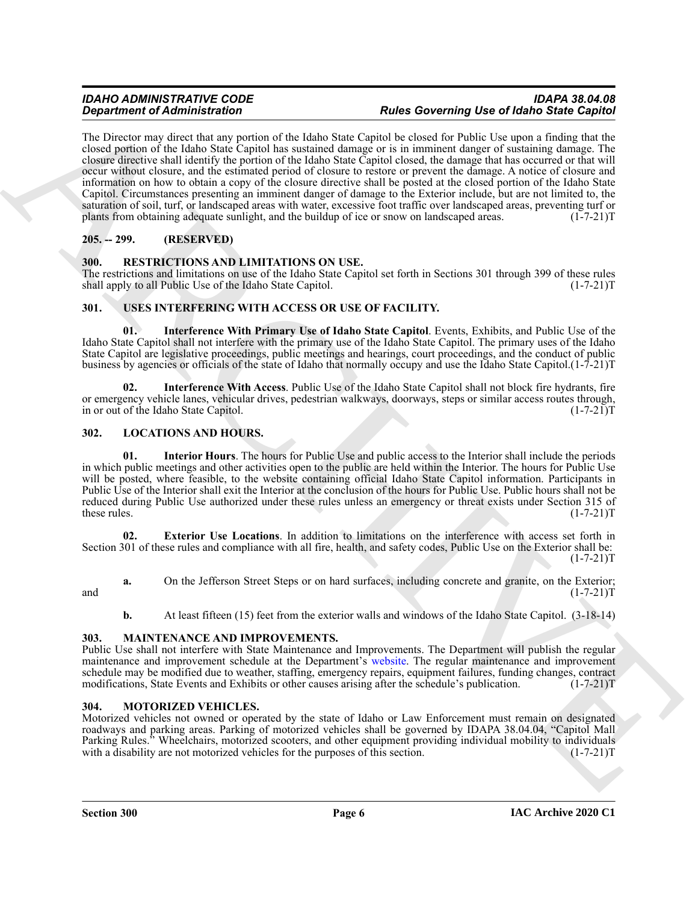#### *IDAHO ADMINISTRATIVE CODE IDAPA 38.04.08* **Rules Governing Use of Idaho State Capitol**

**Experiment of Administration** of the Male Sant Capital and Barborium (*But a Bostonia* particular and Male Sant Capital and Male Sant Capital and Male Sant Capital and Male Sant Capital and Male Sant Capital and Male San The Director may direct that any portion of the Idaho State Capitol be closed for Public Use upon a finding that the closed portion of the Idaho State Capitol has sustained damage or is in imminent danger of sustaining damage. The closure directive shall identify the portion of the Idaho State Capitol closed, the damage that has occurred or that will occur without closure, and the estimated period of closure to restore or prevent the damage. A notice of closure and information on how to obtain a copy of the closure directive shall be posted at the closed portion of the Idaho State Capitol. Circumstances presenting an imminent danger of damage to the Exterior include, but are not limited to, the saturation of soil, turf, or landscaped areas with water, excessive foot traffic over landscaped areas, preventing turf or plants from obtaining adequate sunlight, and the buildup of ice or snow on landscaped areas. (1-7-21)T

#### <span id="page-5-0"></span>**205. -- 299. (RESERVED)**

#### <span id="page-5-11"></span><span id="page-5-1"></span>**300. RESTRICTIONS AND LIMITATIONS ON USE.**

The restrictions and limitations on use of the Idaho State Capitol set forth in Sections 301 through 399 of these rules shall apply to all Public Use of the Idaho State Capitol. (1-7-21) T

#### <span id="page-5-12"></span><span id="page-5-2"></span>**301. USES INTERFERING WITH ACCESS OR USE OF FACILITY.**

<span id="page-5-14"></span>**01. Interference With Primary Use of Idaho State Capitol**. Events, Exhibits, and Public Use of the Idaho State Capitol shall not interfere with the primary use of the Idaho State Capitol. The primary uses of the Idaho State Capitol are legislative proceedings, public meetings and hearings, court proceedings, and the conduct of public business by agencies or officials of the state of Idaho that normally occupy and use the Idaho State Capitol.(1-7-21)T

<span id="page-5-13"></span>**02. Interference With Access**. Public Use of the Idaho State Capitol shall not block fire hydrants, fire or emergency vehicle lanes, vehicular drives, pedestrian walkways, doorways, steps or similar access routes through, in or out of the Idaho State Capitol. (1-7-21)T

#### <span id="page-5-6"></span><span id="page-5-3"></span>**302. LOCATIONS AND HOURS.**

<span id="page-5-8"></span>**01. Interior Hours**. The hours for Public Use and public access to the Interior shall include the periods in which public meetings and other activities open to the public are held within the Interior. The hours for Public Use will be posted, where feasible, to the website containing official Idaho State Capitol information. Participants in Public Use of the Interior shall exit the Interior at the conclusion of the hours for Public Use. Public hours shall not be reduced during Public Use authorized under these rules unless an emergency or threat exists under Section 315 of these rules. (1-7-21) these rules. (1-7-21)T

<span id="page-5-7"></span>**02. Exterior Use Locations**. In addition to limitations on the interference with access set forth in Section 301 of these rules and compliance with all fire, health, and safety codes, Public Use on the Exterior shall be:  $(1-7-21)T$ 

**a.** On the Jefferson Street Steps or on hard surfaces, including concrete and granite, on the Exterior; and  $(1-7-21)T$ 

<span id="page-5-9"></span>**b.** At least fifteen (15) feet from the exterior walls and windows of the Idaho State Capitol. (3-18-14)

#### <span id="page-5-4"></span>**303. MAINTENANCE AND IMPROVEMENTS.**

Public Use shall not interfere with State Maintenance and Improvements. The Department will publish the regular maintenance and improvement schedule at the Department's website. The regular maintenance and improvement schedule may be modified due to weather, staffing, emergency repairs, equipment failures, funding changes, contract modifications, State Events and Exhibits or other causes arising after the schedule's publication. (1-7-21)T

#### <span id="page-5-10"></span><span id="page-5-5"></span>**304. MOTORIZED VEHICLES.**

Motorized vehicles not owned or operated by the state of Idaho or Law Enforcement must remain on designated roadways and parking areas. Parking of motorized vehicles shall be governed by IDAPA 38.04.04, "Capitol Mall Parking Rules." Wheelchairs, motorized scooters, and other equipment providing individual mobility to individuals with a disability are not motorized vehicles for the purposes of this section. (1-7-21) with a disability are not motorized vehicles for the purposes of this section.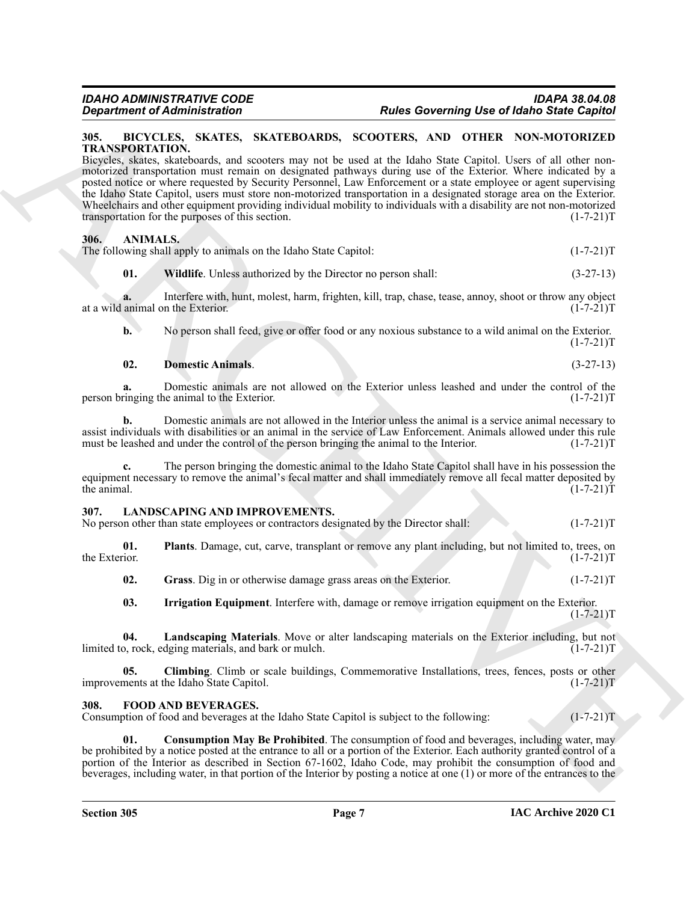#### <span id="page-6-7"></span><span id="page-6-0"></span>**305. BICYCLES, SKATES, SKATEBOARDS, SCOOTERS, AND OTHER NON-MOTORIZED TRANSPORTATION.**

**EQUINDER CONSULTS.**<br> **Butler Governing Use of Identify the Consumer Consumer Consumer Consumer Consumer Consumer Consumer Consumer Consumer Consumer Consumer Consumer Consumer Consumer Consumer Consumer Consumer Consumer** Bicycles, skates, skateboards, and scooters may not be used at the Idaho State Capitol. Users of all other nonmotorized transportation must remain on designated pathways during use of the Exterior. Where indicated by a posted notice or where requested by Security Personnel, Law Enforcement or a state employee or agent supervising the Idaho State Capitol, users must store non-motorized transportation in a designated storage area on the Exterior. Wheelchairs and other equipment providing individual mobility to individuals with a disability are not non-motorized transportation for the purposes of this section. transportation for the purposes of this section.

#### <span id="page-6-4"></span><span id="page-6-1"></span>**306. ANIMALS.**

The following shall apply to animals on the Idaho State Capitol:  $(1-7-21)$ T

<span id="page-6-6"></span>**01. Wildlife**. Unless authorized by the Director no person shall: (3-27-13)

**a.** Interfere with, hunt, molest, harm, frighten, kill, trap, chase, tease, annoy, shoot or throw any object animal on the Exterior.  $(1-7-21)T$ at a wild animal on the Exterior.

**b.** No person shall feed, give or offer food or any noxious substance to a wild animal on the Exterior.  $(1-7-21)T$ 

#### <span id="page-6-5"></span>**02. Domestic Animals**. (3-27-13)

**a.** Domestic animals are not allowed on the Exterior unless leashed and under the control of the ringing the animal to the Exterior. (1-7-21) person bringing the animal to the Exterior.

**b.** Domestic animals are not allowed in the Interior unless the animal is a service animal necessary to assist individuals with disabilities or an animal in the service of Law Enforcement. Animals allowed under this rule must be leashed and under the control of the person bringing the animal to the Interior. (1-7-21)T

**c.** The person bringing the domestic animal to the Idaho State Capitol shall have in his possession the equipment necessary to remove the animal's fecal matter and shall immediately remove all fecal matter deposited by the animal. (1-7-21)T the animal.  $(1-7-21)T$ 

#### <span id="page-6-10"></span><span id="page-6-2"></span>**307. LANDSCAPING AND IMPROVEMENTS.**

| No person other than state employees or contractors designated by the Director shall: | $(1-7-21)T$ |
|---------------------------------------------------------------------------------------|-------------|
|---------------------------------------------------------------------------------------|-------------|

**01.** Plants. Damage, cut, carve, transplant or remove any plant including, but not limited to, trees, on the Exterior.  $(1-7-21)T$ the Exterior. (1-7-21)T

<span id="page-6-15"></span><span id="page-6-13"></span><span id="page-6-12"></span>**02.** Grass. Dig in or otherwise damage grass areas on the Exterior. (1-7-21) T

<span id="page-6-14"></span><span id="page-6-11"></span>**03. Irrigation Equipment**. Interfere with, damage or remove irrigation equipment on the Exterior.  $(1-7-21)T$ 

**04. Landscaping Materials**. Move or alter landscaping materials on the Exterior including, but not limited to, rock, edging materials, and bark or mulch. (1-7-21)T

**05. Climbing**. Climb or scale buildings, Commemorative Installations, trees, fences, posts or other improvements at the Idaho State Capitol. (1-7-21)T

#### <span id="page-6-8"></span><span id="page-6-3"></span>**308. FOOD AND BEVERAGES.**

Consumption of food and beverages at the Idaho State Capitol is subject to the following: (1-7-21)T

<span id="page-6-9"></span>**Consumption May Be Prohibited**. The consumption of food and beverages, including water, may be prohibited by a notice posted at the entrance to all or a portion of the Exterior. Each authority granted control of a portion of the Interior as described in Section 67-1602, Idaho Code, may prohibit the consumption of food and beverages, including water, in that portion of the Interior by posting a notice at one (1) or more of the entrances to the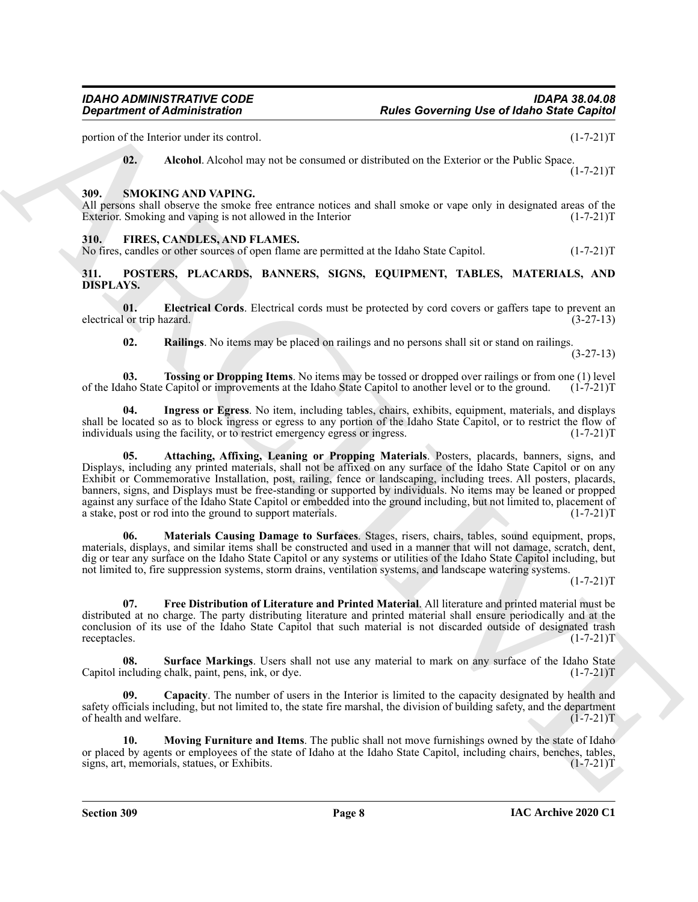portion of the Interior under its control. (1-7-21)T

<span id="page-7-16"></span><span id="page-7-4"></span>**02. Alcohol**. Alcohol may not be consumed or distributed on the Exterior or the Public Space.  $(1 - 7 - 21)T$ 

#### <span id="page-7-0"></span>**309. SMOKING AND VAPING.**

All persons shall observe the smoke free entrance notices and shall smoke or vape only in designated areas of the Exterior. Smoking and vaping is not allowed in the Interior (1-7-21) T

#### <span id="page-7-3"></span><span id="page-7-1"></span>**310. FIRES, CANDLES, AND FLAMES.**

<span id="page-7-5"></span>No fires, candles or other sources of open flame are permitted at the Idaho State Capitol. (1-7-21)T

#### <span id="page-7-2"></span>**311. POSTERS, PLACARDS, BANNERS, SIGNS, EQUIPMENT, TABLES, MATERIALS, AND DISPLAYS.**

**01. Electrical Cords**. Electrical cords must be protected by cord covers or gaffers tape to prevent an l or trip hazard. (3-27-13) electrical or trip hazard.

<span id="page-7-15"></span><span id="page-7-13"></span><span id="page-7-10"></span><span id="page-7-8"></span>**02. Railings**. No items may be placed on railings and no persons shall sit or stand on railings.

(3-27-13)

**03. Tossing or Dropping Items**. No items may be tossed or dropped over railings or from one (1) level aho State Capitol or improvements at the Idaho State Capitol to another level or to the ground. (1-7-21) T of the Idaho State Capitol or improvements at the Idaho State Capitol to another level or to the ground.

<span id="page-7-6"></span>**04. Ingress or Egress**. No item, including tables, chairs, exhibits, equipment, materials, and displays shall be located so as to block ingress or egress to any portion of the Idaho State Capitol, or to restrict the flow of individuals using the facility, or to restrict emergency egress or ingress. (1-7-21)T

**Equivariant of Administration**<br> **Protocol and Action various Example 19 and Action Value of the Control and Action Value of Action 2018**<br>
(1). A tended Advertise we determine to determine to the Freshot of the Palis Co **05. Attaching, Affixing, Leaning or Propping Materials**. Posters, placards, banners, signs, and Displays, including any printed materials, shall not be affixed on any surface of the Idaho State Capitol or on any Exhibit or Commemorative Installation, post, railing, fence or landscaping, including trees. All posters, placards, banners, signs, and Displays must be free-standing or supported by individuals. No items may be leaned or propped against any surface of the Idaho State Capitol or embedded into the ground including, but not limited to, placement of a stake, post or rod into the ground to support materials. (1-7-21)T

<span id="page-7-11"></span>**06. Materials Causing Damage to Surfaces**. Stages, risers, chairs, tables, sound equipment, props, materials, displays, and similar items shall be constructed and used in a manner that will not damage, scratch, dent, dig or tear any surface on the Idaho State Capitol or any systems or utilities of the Idaho State Capitol including, but not limited to, fire suppression systems, storm drains, ventilation systems, and landscape watering systems.

 $(1 - 7 - 21)T$ 

<span id="page-7-9"></span>**07. Free Distribution of Literature and Printed Material**. All literature and printed material must be distributed at no charge. The party distributing literature and printed material shall ensure periodically and at the conclusion of its use of the Idaho State Capitol that such material is not discarded outside of designated trash receptacles. (1-7-21)T

<span id="page-7-14"></span>**08. Surface Markings**. Users shall not use any material to mark on any surface of the Idaho State Capitol including chalk, paint, pens, ink, or dye. (1-7-21) T

<span id="page-7-7"></span>**09. Capacity**. The number of users in the Interior is limited to the capacity designated by health and safety officials including, but not limited to, the state fire marshal, the division of building safety, and the department of health and welfare. (1-7-21)T

<span id="page-7-12"></span>**10. Moving Furniture and Items**. The public shall not move furnishings owned by the state of Idaho or placed by agents or employees of the state of Idaho at the Idaho State Capitol, including chairs, benches, tables, signs, art, memorials, statues, or Exhibits. signs, art, memorials, statues, or Exhibits.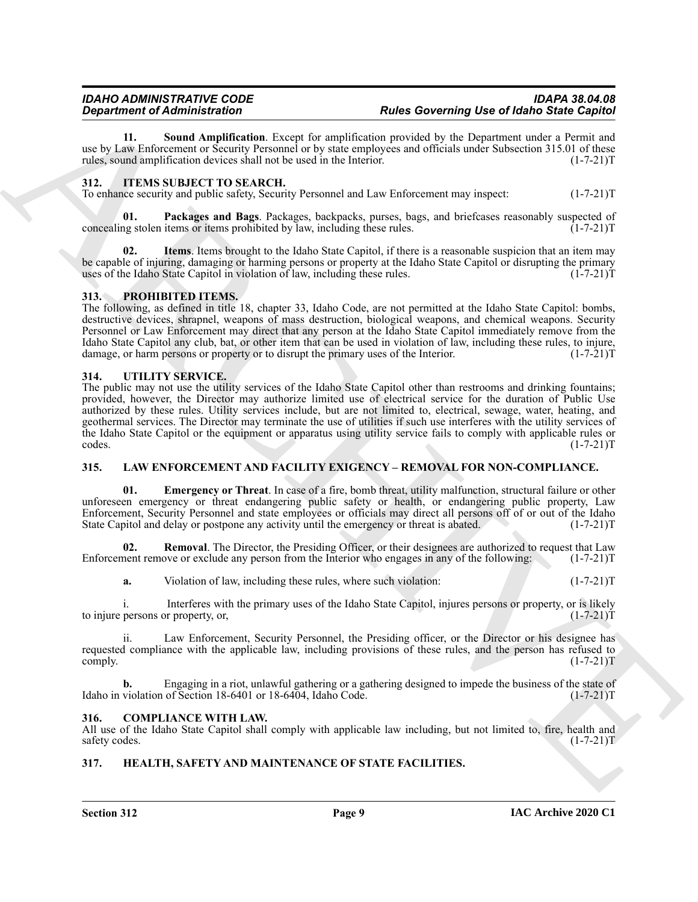<span id="page-8-14"></span>**11. Sound Amplification**. Except for amplification provided by the Department under a Permit and use by Law Enforcement or Security Personnel or by state employees and officials under Subsection 315.01 of these rules, sound amplification devices shall not be used in the Interior. (1-7-21)T

#### <span id="page-8-8"></span><span id="page-8-0"></span>**312. ITEMS SUBJECT TO SEARCH.**

To enhance security and public safety, Security Personnel and Law Enforcement may inspect: (1-7-21)T

<span id="page-8-10"></span>**01. Packages and Bags**. Packages, backpacks, purses, bags, and briefcases reasonably suspected of concealing stolen items or items prohibited by law, including these rules. (1-7-21)T

<span id="page-8-9"></span>**02. Items**. Items brought to the Idaho State Capitol, if there is a reasonable suspicion that an item may be capable of injuring, damaging or harming persons or property at the Idaho State Capitol or disrupting the primary<br>uses of the Idaho State Capitol in violation of law, including these rules. (1-7-21) uses of the Idaho State Capitol in violation of law, including these rules.

#### <span id="page-8-15"></span><span id="page-8-1"></span>**313. PROHIBITED ITEMS.**

The following, as defined in title 18, chapter 33, Idaho Code, are not permitted at the Idaho State Capitol: bombs, destructive devices, shrapnel, weapons of mass destruction, biological weapons, and chemical weapons. Security Personnel or Law Enforcement may direct that any person at the Idaho State Capitol immediately remove from the Idaho State Capitol any club, bat, or other item that can be used in violation of law, including these rules, to injure, damage, or harm persons or property or to disrupt the primary uses of the Interior.

#### <span id="page-8-16"></span><span id="page-8-2"></span>**314. UTILITY SERVICE.**

**Experimental definition for the system of the state of the system of the system of the system of the system of the system of the system of the system of the system of the system of the system of the system of the system** The public may not use the utility services of the Idaho State Capitol other than restrooms and drinking fountains; provided, however, the Director may authorize limited use of electrical service for the duration of Public Use authorized by these rules. Utility services include, but are not limited to, electrical, sewage, water, heating, and geothermal services. The Director may terminate the use of utilities if such use interferes with the utility services of the Idaho State Capitol or the equipment or apparatus using utility service fails to comply with applicable rules or codes. (1-7-21) codes. (1-7-21)T

#### <span id="page-8-11"></span><span id="page-8-3"></span>**315. LAW ENFORCEMENT AND FACILITY EXIGENCY – REMOVAL FOR NON-COMPLIANCE.**

<span id="page-8-12"></span>**01. Emergency or Threat**. In case of a fire, bomb threat, utility malfunction, structural failure or other unforeseen emergency or threat endangering public safety or health, or endangering public property, Law Enforcement, Security Personnel and state employees or officials may direct all persons off of or out of the Idaho State Capitol and delay or postpone any activity until the emergency or threat is abated. (1-7-21) State Capitol and delay or postpone any activity until the emergency or threat is abated.

**02. Removal**. The Director, the Presiding Officer, or their designees are authorized to request that Law Enforcement remove or exclude any person from the Interior who engages in any of the following: (1-7-21)T

<span id="page-8-13"></span>**a.** Violation of law, including these rules, where such violation: (1-7-21) (1-7-21)

i. Interferes with the primary uses of the Idaho State Capitol, injures persons or property, or is likely to injure persons or property, or,  $(1-7-21)T$ 

ii. Law Enforcement, Security Personnel, the Presiding officer, or the Director or his designee has requested compliance with the applicable law, including provisions of these rules, and the person has refused to  $\text{complex} \tag{1-7-21}$ 

**b.** Engaging in a riot, unlawful gathering or a gathering designed to impede the business of the state of violation of Section 18-6401 or 18-6404, Idaho Code.  $(1-7-21)$ T Idaho in violation of Section 18-6401 or 18-6404, Idaho Code.

#### <span id="page-8-6"></span><span id="page-8-4"></span>**316. COMPLIANCE WITH LAW.**

All use of the Idaho State Capitol shall comply with applicable law including, but not limited to, fire, health and safety codes. (1-7-21)T

#### <span id="page-8-7"></span><span id="page-8-5"></span>**317. HEALTH, SAFETY AND MAINTENANCE OF STATE FACILITIES.**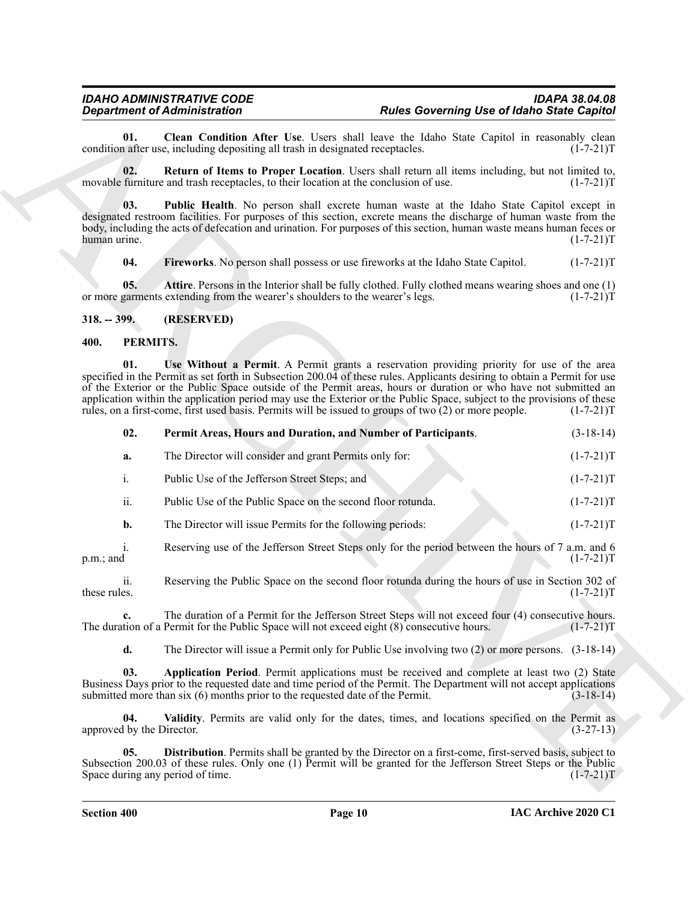#### <span id="page-9-5"></span><span id="page-9-4"></span><span id="page-9-2"></span><span id="page-9-0"></span>**318. -- 399. (RESERVED)**

#### <span id="page-9-11"></span><span id="page-9-10"></span><span id="page-9-7"></span><span id="page-9-1"></span>**400. PERMITS.**

<span id="page-9-6"></span><span id="page-9-3"></span>

| <b>Department of Administration</b>                                                   |                                  |                                                                                                                                                                                                                                                                                                                                                                                                                                                                                                                                                                              | <b>Rules Governing Use of Idaho State Capitol</b>                                                       |             |  |
|---------------------------------------------------------------------------------------|----------------------------------|------------------------------------------------------------------------------------------------------------------------------------------------------------------------------------------------------------------------------------------------------------------------------------------------------------------------------------------------------------------------------------------------------------------------------------------------------------------------------------------------------------------------------------------------------------------------------|---------------------------------------------------------------------------------------------------------|-------------|--|
| 01.<br>condition after use, including depositing all trash in designated receptacles. |                                  |                                                                                                                                                                                                                                                                                                                                                                                                                                                                                                                                                                              | Clean Condition After Use. Users shall leave the Idaho State Capitol in reasonably clean<br>$(1-7-21)T$ |             |  |
|                                                                                       | 02.                              | Return of Items to Proper Location. Users shall return all items including, but not limited to,<br>movable furniture and trash receptacles, to their location at the conclusion of use.                                                                                                                                                                                                                                                                                                                                                                                      |                                                                                                         | $(1-7-21)T$ |  |
| human urine.                                                                          | 03.                              | Public Health. No person shall excrete human waste at the Idaho State Capitol except in<br>designated restroom facilities. For purposes of this section, excrete means the discharge of human waste from the<br>body, including the acts of defecation and urination. For purposes of this section, human waste means human feces or                                                                                                                                                                                                                                         |                                                                                                         | $(1-7-21)T$ |  |
|                                                                                       | 04.                              | Fireworks. No person shall possess or use fireworks at the Idaho State Capitol.                                                                                                                                                                                                                                                                                                                                                                                                                                                                                              |                                                                                                         | $(1-7-21)T$ |  |
|                                                                                       | 05.                              | Attire. Persons in the Interior shall be fully clothed. Fully clothed means wearing shoes and one (1)<br>or more garments extending from the wearer's shoulders to the wearer's legs.                                                                                                                                                                                                                                                                                                                                                                                        |                                                                                                         | $(1-7-21)T$ |  |
| $318. - 399.$                                                                         |                                  | (RESERVED)                                                                                                                                                                                                                                                                                                                                                                                                                                                                                                                                                                   |                                                                                                         |             |  |
| 400.                                                                                  | PERMITS.                         |                                                                                                                                                                                                                                                                                                                                                                                                                                                                                                                                                                              |                                                                                                         |             |  |
|                                                                                       | 01.                              | Use Without a Permit. A Permit grants a reservation providing priority for use of the area<br>specified in the Permit as set forth in Subsection 200.04 of these rules. Applicants desiring to obtain a Permit for use<br>of the Exterior or the Public Space outside of the Permit areas, hours or duration or who have not submitted an<br>application within the application period may use the Exterior or the Public Space, subject to the provisions of these<br>rules, on a first-come, first used basis. Permits will be issued to groups of two (2) or more people. |                                                                                                         | $(1-7-21)T$ |  |
|                                                                                       | 02.                              | Permit Areas, Hours and Duration, and Number of Participants.                                                                                                                                                                                                                                                                                                                                                                                                                                                                                                                |                                                                                                         | $(3-18-14)$ |  |
|                                                                                       | a.                               | The Director will consider and grant Permits only for:                                                                                                                                                                                                                                                                                                                                                                                                                                                                                                                       |                                                                                                         | $(1-7-21)T$ |  |
|                                                                                       | i.                               | Public Use of the Jefferson Street Steps; and                                                                                                                                                                                                                                                                                                                                                                                                                                                                                                                                |                                                                                                         | $(1-7-21)T$ |  |
|                                                                                       | ii.                              | Public Use of the Public Space on the second floor rotunda.                                                                                                                                                                                                                                                                                                                                                                                                                                                                                                                  |                                                                                                         | $(1-7-21)T$ |  |
|                                                                                       | b.                               | The Director will issue Permits for the following periods:                                                                                                                                                                                                                                                                                                                                                                                                                                                                                                                   |                                                                                                         | $(1-7-21)T$ |  |
| p.m.; and                                                                             | i.                               | Reserving use of the Jefferson Street Steps only for the period between the hours of 7 a.m. and 6                                                                                                                                                                                                                                                                                                                                                                                                                                                                            |                                                                                                         | $(1-7-21)T$ |  |
| these rules.                                                                          | ii.                              | Reserving the Public Space on the second floor rotunda during the hours of use in Section 302 of                                                                                                                                                                                                                                                                                                                                                                                                                                                                             |                                                                                                         | $(1-7-21)T$ |  |
|                                                                                       |                                  | The duration of a Permit for the Jefferson Street Steps will not exceed four (4) consecutive hours.<br>The duration of a Permit for the Public Space will not exceed eight $(8)$ consecutive hours.                                                                                                                                                                                                                                                                                                                                                                          |                                                                                                         | $(1-7-21)T$ |  |
|                                                                                       | d.                               | The Director will issue a Permit only for Public Use involving two $(2)$ or more persons. $(3-18-14)$                                                                                                                                                                                                                                                                                                                                                                                                                                                                        |                                                                                                         |             |  |
|                                                                                       | 03.                              | Application Period. Permit applications must be received and complete at least two (2) State<br>Business Days prior to the requested date and time period of the Permit. The Department will not accept applications<br>submitted more than $six(6)$ months prior to the requested date of the Permit.                                                                                                                                                                                                                                                                       |                                                                                                         | $(3-18-14)$ |  |
|                                                                                       | 04.<br>approved by the Director. | Validity. Permits are valid only for the dates, times, and locations specified on the Permit as                                                                                                                                                                                                                                                                                                                                                                                                                                                                              |                                                                                                         | $(3-27-13)$ |  |
|                                                                                       | 05.                              | Distribution. Permits shall be granted by the Director on a first-come, first-served basis, subject to<br>Subsection 200.03 of these rules. Only one (1) Permit will be granted for the Jefferson Street Steps or the Public<br>Space during any period of time.                                                                                                                                                                                                                                                                                                             |                                                                                                         |             |  |

<span id="page-9-12"></span><span id="page-9-9"></span><span id="page-9-8"></span>**Section 400 Page 10**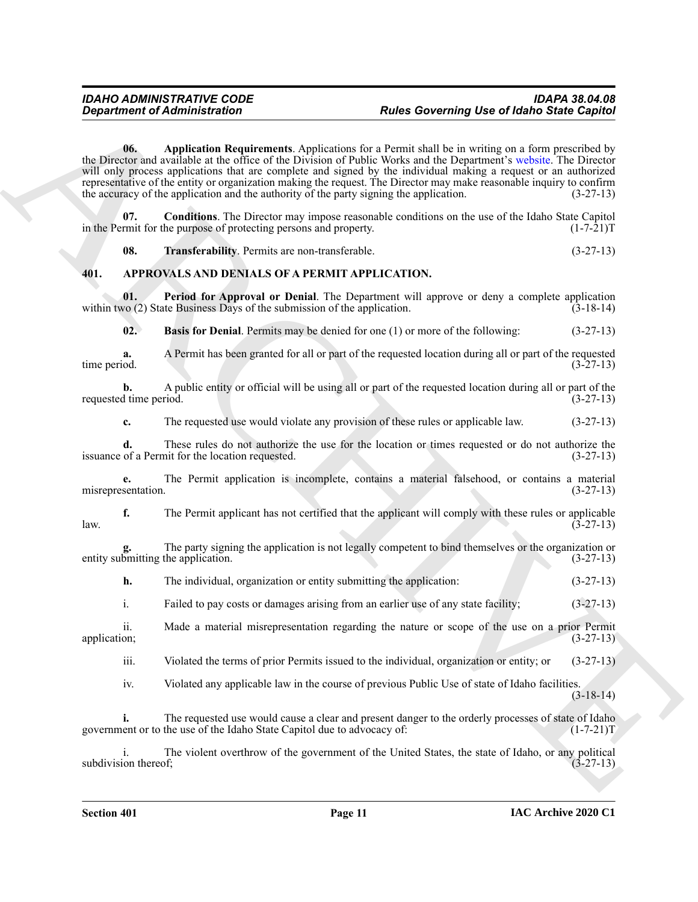**Experiment of Administration**<br> **Andre Governing Use of Mathematical Properties**<br> **ARCHIVE ACTION CONTRACTS** and the state of the state of the state of the state of the state of the state of the state of the state of the **06. Application Requirements**. Applications for a Permit shall be in writing on a form prescribed by the Director and available at the office of the Division of Public Works and the Department's website. The Director will only process applications that are complete and signed by the individual making a request or an authorized representative of the entity or organization making the request. The Director may make reasonable inquiry to confirm the accuracy of the application and the authority of the party signing the application. (3-27-13)

<span id="page-10-4"></span>**07. Conditions**. The Director may impose reasonable conditions on the use of the Idaho State Capitol in the Permit for the purpose of protecting persons and property. (1-7-21)T

<span id="page-10-6"></span><span id="page-10-5"></span><span id="page-10-3"></span><span id="page-10-1"></span>**08. Transferability**. Permits are non-transferable. (3-27-13)

#### <span id="page-10-0"></span>**401. APPROVALS AND DENIALS OF A PERMIT APPLICATION.**

**01.** Period for Approval or Denial. The Department will approve or deny a complete application vo (2) State Business Days of the submission of the application. (3-18-14) within two  $(2)$  State Business Days of the submission of the application.

<span id="page-10-2"></span>**02. Basis for Denial**. Permits may be denied for one (1) or more of the following: (3-27-13)

**a.** A Permit has been granted for all or part of the requested location during all or part of the requested time period. (3-27-13)

**b.** A public entity or official will be using all or part of the requested location during all or part of the requested time period. (3-27-13)

**c.** The requested use would violate any provision of these rules or applicable law.  $(3-27-13)$ 

**d.** These rules do not authorize the use for the location or times requested or do not authorize the of a Permit for the location requested.  $(3-27-13)$ issuance of a Permit for the location requested.

**e.** The Permit application is incomplete, contains a material falsehood, or contains a material misrepresentation. (3-27-13)

**f.** The Permit applicant has not certified that the applicant will comply with these rules or applicable  $(3-27-13)$  $l$ aw.  $(3-27-13)$ 

**g.** The party signing the application is not legally competent to bind themselves or the organization or entity submitting the application. (3-27-13)

**h.** The individual, organization or entity submitting the application: (3-27-13)

i. Failed to pay costs or damages arising from an earlier use of any state facility; (3-27-13)

ii. Made a material misrepresentation regarding the nature or scope of the use on a prior Permit application; (3-27-13)

iii. Violated the terms of prior Permits issued to the individual, organization or entity; or (3-27-13)

iv. Violated any applicable law in the course of previous Public Use of state of Idaho facilities. (3-18-14)

**i.** The requested use would cause a clear and present danger to the orderly processes of state of Idaho government or to the use of the Idaho State Capitol due to advocacy of: (1-7-21)T

i. The violent overthrow of the government of the United States, the state of Idaho, or any political ion thereof; (3-27-13) subdivision thereof;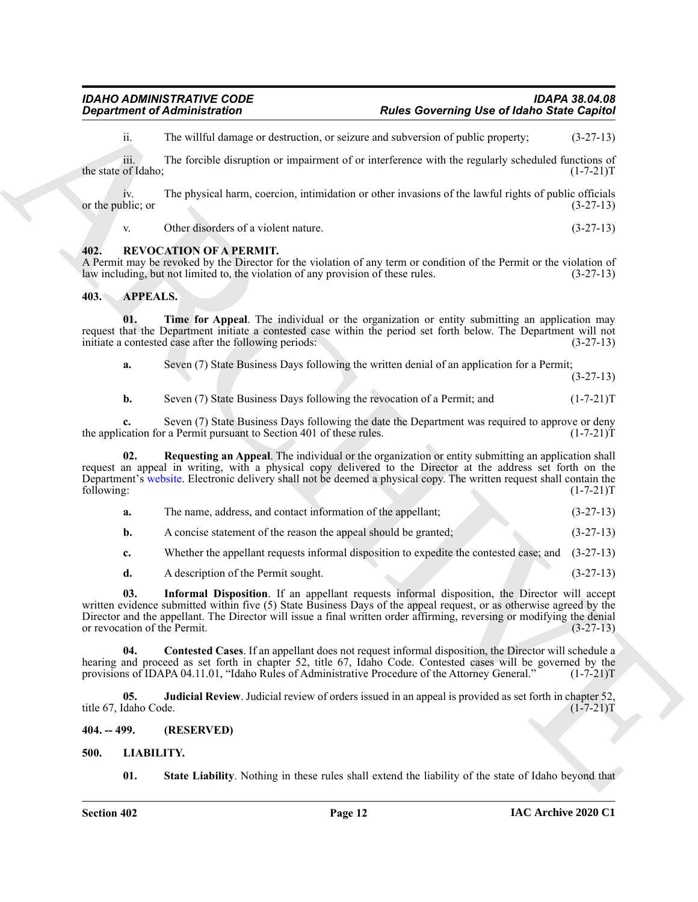ii. The willful damage or destruction, or seizure and subversion of public property; (3-27-13)

iii. The forcible disruption or impairment of or interference with the regularly scheduled functions of of Idaho: (1-7-21) the state of Idaho:

iv. The physical harm, coercion, intimidation or other invasions of the lawful rights of public officials blic; or (3-27-13) or the public; or

<span id="page-11-12"></span>v. Other disorders of a violent nature. (3-27-13)

#### <span id="page-11-0"></span>**402. REVOCATION OF A PERMIT.**

A Permit may be revoked by the Director for the violation of any term or condition of the Permit or the violation of law including, but not limited to, the violation of any provision of these rules. (3-27-13) law including, but not limited to, the violation of any provision of these rules.

#### <span id="page-11-4"></span><span id="page-11-1"></span>**403. APPEALS.**

**01. Time for Appeal**. The individual or the organization or entity submitting an application may request that the Department initiate a contested case within the period set forth below. The Department will not initiate a contested case after the following periods: (3-27-13)

<span id="page-11-9"></span>

|  | Seven (7) State Business Days following the written denial of an application for a Permit; |  |
|--|--------------------------------------------------------------------------------------------|--|
|  | $(3-27-13)$                                                                                |  |

<span id="page-11-8"></span>**b.** Seven (7) State Business Days following the revocation of a Permit; and  $(1-7-21)$ T

**c.** Seven (7) State Business Days following the date the Department was required to approve or deny the application for a Permit pursuant to Section 401 of these rules. (1-7-21) [1-7-21]

**Expariment of Administration**<br>
The validation structure and the valid structure of the structure of the structure of the structure of the structure of the structure of the structure of the structure of the structure of t **02. Requesting an Appeal**. The individual or the organization or entity submitting an application shall request an appeal in writing, with a physical copy delivered to the Director at the address set forth on the Department's website. Electronic delivery shall not be deemed a physical copy. The written request shall contain the following: (1-7-21) following: (1-7-21)T

- **a.** The name, address, and contact information of the appellant; (3-27-13)
- **b.** A concise statement of the reason the appeal should be granted; (3-27-13)

**c.** Whether the appellant requests informal disposition to expedite the contested case; and (3-27-13)

<span id="page-11-6"></span><span id="page-11-5"></span>**d.** A description of the Permit sought. (3-27-13)

**03. Informal Disposition**. If an appellant requests informal disposition, the Director will accept written evidence submitted within five (5) State Business Days of the appeal request, or as otherwise agreed by the Director and the appellant. The Director will issue a final written order affirming, reversing or modifying the denial or revocation of the Permit. (3-27-13)

**04. Contested Cases**. If an appellant does not request informal disposition, the Director will schedule a hearing and proceed as set forth in chapter 52, title 67, Idaho Code. Contested cases will be governed by the provisions of IDAPA 04.11.01. "Idaho Rules of Administrative Procedure of the Attorney General." (1-7-21)T provisions of IDAPA 04.11.01, "Idaho Rules of Administrative Procedure of the Attorney General."

<span id="page-11-7"></span>**05. Judicial Review**. Judicial review of orders issued in an appeal is provided as set forth in chapter 52, daho Code. (1-7-21) title 67, Idaho Code.

<span id="page-11-2"></span>**404. -- 499. (RESERVED)**

<span id="page-11-3"></span>**500. LIABILITY.**

<span id="page-11-11"></span><span id="page-11-10"></span>**01.** State Liability. Nothing in these rules shall extend the liability of the state of Idaho beyond that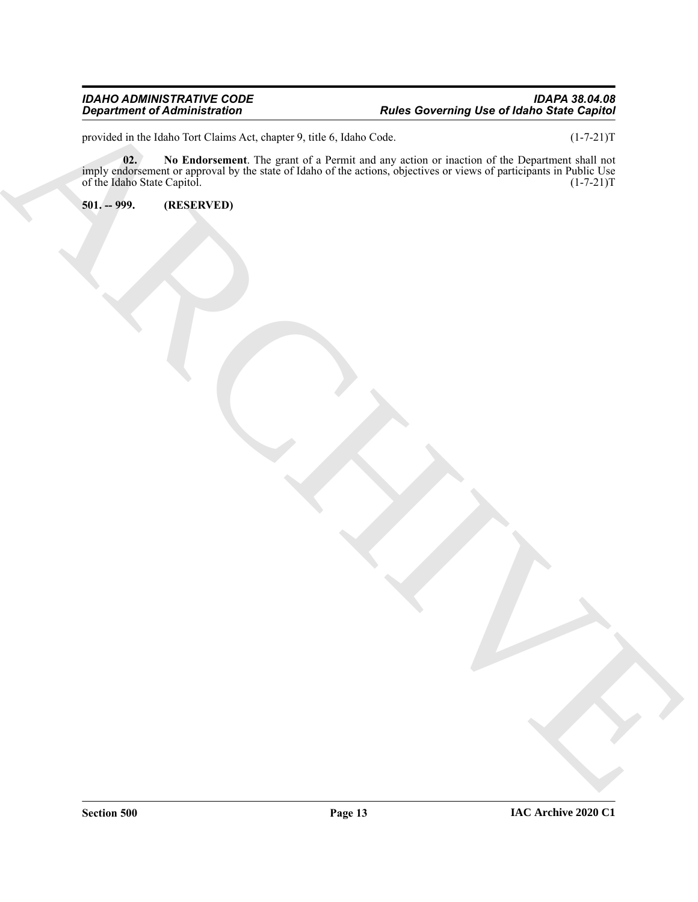#### *IDAHO ADMINISTRATIVE CODE IDAPA 38.04.08 Department of Administration Rules Governing Use of Idaho State Capitol*

<span id="page-12-1"></span>provided in the Idaho Tort Claims Act, chapter 9, title 6, Idaho Code. (1-7-21)T

 $\frac{1}{\pi}$  minimized of Administrations<br>  $\frac{1}{\pi}$  minimized to the United States (since  $\pi$ ), the little of the states (since the product of the Theorem one of the Third Contains (since the contact of the Third Contain **02. No Endorsement**. The grant of a Permit and any action or inaction of the Department shall not imply endorsement or approval by the state of Idaho of the actions, objectives or views of participants in Public Use of the Idaho State Capitol. (1-7-21)T

<span id="page-12-0"></span>**501. -- 999. (RESERVED)**